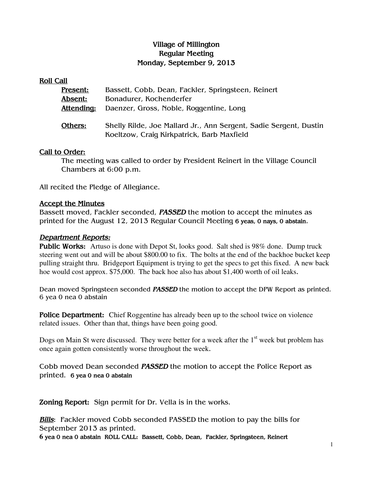# Village of Millington Regular Meeting Monday, September 9, 2013

#### Roll Call

| Present:   | Bassett, Cobb, Dean, Fackler, Springsteen, Reinert                                                              |
|------------|-----------------------------------------------------------------------------------------------------------------|
| Absent:    | Bonadurer, Kochenderfer                                                                                         |
| Attending: | Daenzer, Gross, Noble, Roggentine, Long                                                                         |
| Others:    | Shelly Rilde, Joe Mallard Jr., Ann Sergent, Sadie Sergent, Dustin<br>Koeltzow, Craig Kirkpatrick, Barb Maxfield |
|            |                                                                                                                 |

#### Call to Order:

The meeting was called to order by President Reinert in the Village Council Chambers at 6:00 p.m.

All recited the Pledge of Allegiance.

#### Accept the Minutes

Bassett moved, Fackler seconded, PASSED the motion to accept the minutes as printed for the August 12, 2013 Regular Council Meeting 6 yeas, 0 nays, 0 abstain.

#### Department Reports:

**Public Works:** Artuso is done with Depot St, looks good. Salt shed is 98% done. Dump truck steering went out and will be about \$800.00 to fix. The bolts at the end of the backhoe bucket keep pulling straight thru. Bridgeport Equipment is trying to get the specs to get this fixed. A new back hoe would cost approx. \$75,000. The back hoe also has about \$1,400 worth of oil leaks.

Dean moved Springsteen seconded PASSED the motion to accept the DPW Report as printed. 6 yea 0 nea 0 abstain

Police Department: Chief Roggentine has already been up to the school twice on violence related issues. Other than that, things have been going good.

Dogs on Main St were discussed. They were better for a week after the  $1<sup>st</sup>$  week but problem has once again gotten consistently worse throughout the week.

Cobb moved Dean seconded **PASSED** the motion to accept the Police Report as printed. 6 yea 0 nea 0 abstain

Zoning Report: Sign permit for Dr. Vella is in the works.

**Bills**: Fackler moved Cobb seconded PASSED the motion to pay the bills for September 2013 as printed.

**6** yea 0 nea 0 abstain ROLL CALL: Bassett, Cobb, Dean, Fackler, Springsteen, Reinert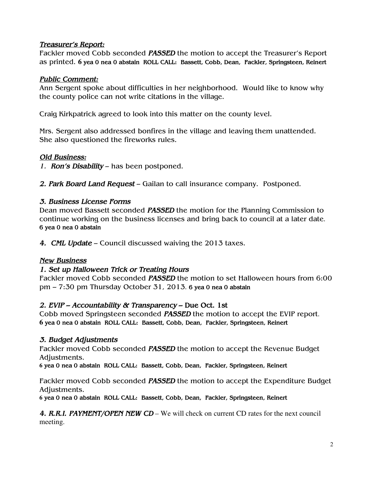### Treasurer's Report:

Fackler moved Cobb seconded PASSED the motion to accept the Treasurer's Report as printed. **6** yea 0 nea 0 abstain ROLL CALL: Bassett, Cobb, Dean, Fackler, Springsteen, Reinert

## Public Comment:

Ann Sergent spoke about difficulties in her neighborhood. Would like to know why the county police can not write citations in the village.

Craig Kirkpatrick agreed to look into this matter on the county level.

Mrs. Sergent also addressed bonfires in the village and leaving them unattended. She also questioned the fireworks rules.

# Old Business:

1. **Ron's Disability** – has been postponed.

2. Park Board Land Request – Gailan to call insurance company. Postponed.

# 3. Business License Forms

Dean moved Bassett seconded **PASSED** the motion for the Planning Commission to continue working on the business licenses and bring back to council at a later date. 6 yea 0 nea 0 abstain

4. CML Update – Council discussed waiving the 2013 taxes.

### New Business

# 1. Set up Halloween Trick or Treating Hours

Fackler moved Cobb seconded **PASSED** the motion to set Halloween hours from 6:00 pm – 7:30 pm Thursday October 31, 2013. 6 yea 0 nea 0 abstain

# 2. EVIP – Accountability & Transparency – Due Oct. 1st

Cobb moved Springsteen seconded PASSED the motion to accept the EVIP report. **6** yea 0 nea 0 abstain ROLL CALL: Bassett, Cobb, Dean, Fackler, Springsteen, Reinert

### 3. Budget Adjustments

Fackler moved Cobb seconded **PASSED** the motion to accept the Revenue Budget Adjustments.

**6** yea 0 nea 0 abstain ROLL CALL: Bassett, Cobb, Dean, Fackler, Springsteen, Reinert

Fackler moved Cobb seconded **PASSED** the motion to accept the Expenditure Budget Adjustments.

**6** yea 0 nea 0 abstain ROLL CALL: Bassett, Cobb, Dean, Fackler, Springsteen, Reinert

4. R.R.I. PAYMENT/OPEN NEW CD – We will check on current CD rates for the next council meeting.